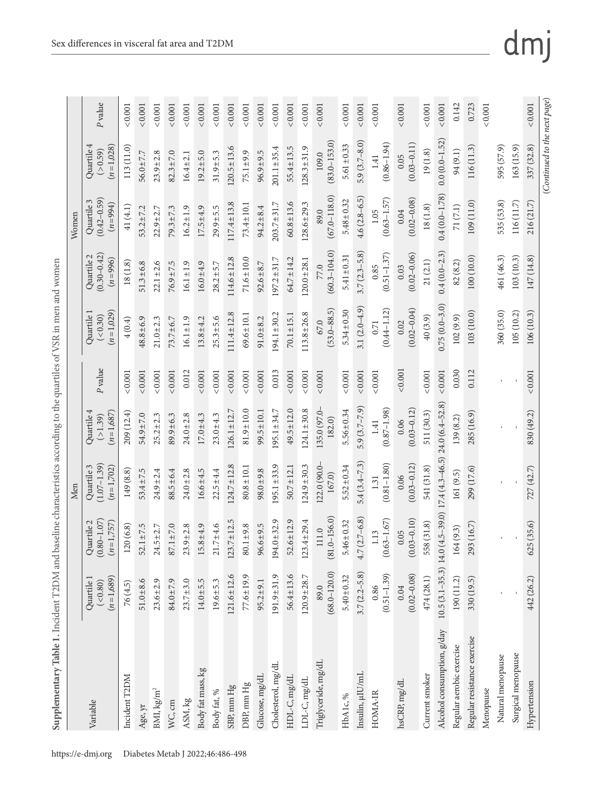| $\frac{1}{2}$<br>ľ   |
|----------------------|
|                      |
|                      |
| ١<br>ļ               |
| ţ                    |
|                      |
|                      |
| ì                    |
|                      |
|                      |
|                      |
|                      |
|                      |
|                      |
|                      |
|                      |
|                      |
| J                    |
| 一个 医骨髓炎 电子           |
|                      |
|                      |
| Supplement<br>į<br>ţ |

| $0.0(0.0 - 1.52)$<br>$(83.0 - 153.0)$<br>$5.9(3.7 - 8.0)$<br>$(0.86 - 1.94)$<br>$(0.03 - 0.11)$<br>$5.61 \pm 0.33$<br>$(n=1,028)$<br>Quartile 4<br>163 (15.9)<br>595 (57.9)<br>113 (11.0)<br>$120.5 \pm 13.6$<br>$55.4 \pm 13.5$<br>$128.3 \pm 31.9$<br>$201.1 \pm 35.4$<br>116 (11.3)<br>( > 0.59)<br>19(1.8)<br>94 (9.1)<br>$96.9 \pm 9.5$<br>$56.0 \pm 7.7$<br>$23.9 \pm 2.8$<br>$82.3 \pm 7.0$<br>$19.2 \pm 5.0$<br>$31.9 \pm 5.3$<br>$75.1 \pm 9.9$<br>$16.4 \pm 2.1$<br>109.0<br>1.41<br>0.05<br>$0.4(0.0 - 1.78)$<br>$(67.0 - 118.0)$<br>$4.6(2.8-6.5)$<br>$(0.63 - 1.57)$<br>$(0.02 - 0.08)$<br>$(0.42 - 0.59)$<br>Quartile 3<br>$5.48 \pm 0.32$<br>109 (11.0)<br>535 (53.8)<br>116(11.7)<br>$60.8 \pm 13.6$<br>$117.4 \pm 13.8$<br>$128.6 \pm 29.3$<br>$203.7 \pm 31.7$<br>$(n=994)$<br>$73.4 \pm 10.1$<br>71(7.1)<br>18(1.8)<br>41(4.1)<br>$94.2 \pm 8.4$<br>$16.2 \pm 1.9$<br>$17.5 + 4.9$<br>$29.9 \pm 5.5$<br>$53.2 \pm 7.2$<br>$22.9 \pm 2.7$<br>$79.3 \pm 7.3$<br>$0.04\,$<br>$1.05$<br>89.0<br>$(60.3 - 104.0)$<br>$3.7(2.3 - 5.8)$<br>$0.4(0.0 - 2.3)$<br>$(0.51 - 1.37)$<br>$(0.02 - 0.06)$<br>$(0.30 - 0.42)$<br>Quartile 2<br>$5.41 \pm 0.31$<br>100 (10.0)<br>461 (46.3)<br>103(10.3)<br>$114.6 \pm 12.8$<br>$71.6 \pm 10.0$<br>$64.7 \pm 14.2$<br>$197.2 \pm 31.7$<br>$120.0 \pm 28.1$<br>$(n=996)$<br>82(8.2)<br>21(2.1)<br>18(1.8)<br>$51.3 \pm 6.8$<br>$22.1 \pm 2.6$<br>$76.9 \pm 7.5$<br>$16.1 \pm 1.9$<br>$16.0 \pm 4.9$<br>$92.6 \pm 8.7$<br>$28.2 \pm 5.7$<br>0.85<br>77.0<br>0.03<br>$0.75(0.0 - 3.0)$<br>3.1 $(2.0-4.9)$<br>$(53.0 - 88.5)$<br>$(0.44 - 1.12)$<br>$(0.02 - 0.04)$<br>$5.34 \pm 0.30$<br>$(n=1,029)$<br>360 (35.0)<br>105 (10.2)<br>103 (10.0)<br>Quartile 1<br>$111.4 \pm 12.8$<br>$194.1 \pm 30.2$<br>$113.8 \pm 26.8$<br>$69.6 \pm 10.1$<br>$70.1 \pm 15.1$<br>( < 0.30)<br>40(3.9)<br>102(9.9)<br>$48.8 \pm 6.9$<br>$73.7 + 6.7$<br>$16.1 \pm 1.9$<br>$25.3 \pm 5.6$<br>$91.0 + 8.2$<br>$21.0 \pm 2.3$<br>$13.8 + 4.2$<br>4(0.4)<br>67.0<br>0.02<br>0.71<br>P value<br>0.012<br>0.013<br>< 0.001<br>0.030<br>${}_{<0.001}$<br>0.001<br>0.001<br>0.001<br>0.001<br>0.001<br>0.001<br>< 0.001<br>0.001<br>0.001<br>0.001<br>< 0.001<br>< 0.001<br>${}_{<0.001}$<br>0.112<br>0.001<br>< 0.001<br>0.001<br>$24.0(6.4 - 52.8)$<br>$5.9(3.7-7.9)$<br>135.0 (97.0<br>$(0.87 - 1.98)$<br>$(0.03 - 0.12)$<br>$81.9 \pm 10.0$<br>$49.5 \pm 12.0$<br>$124.1 \pm 30.8$<br>$126.1 \pm 12.7$<br>$195.1 \pm 34.7$<br>$5.56 \pm 0.34$<br>$99.5 \pm 10.1$<br>Quartile 4<br>511(30.3)<br>$(n=1,687)$<br>209 (12.4)<br>285 (16.9)<br>$54.9 \pm 7.0$<br>$89.9 \pm 6.3$<br>$23.0 \pm 4.3$<br>$25.2 \pm 2.3$<br>$24.0 \pm 2.8$<br>$17.0 + 4.3$<br>( > 1.39)<br>139 (8.2)<br>182.0)<br>0.06<br>1.41<br>$17.4(4.3 - 46.5)$<br>$5.4(3.4 - 7.3)$<br>$(0.81 - 1.80)$<br>122.0 (90.0-<br>$(0.03 - 0.12)$<br>$(1.07 - 1.39)$<br>$124.7 \pm 12.8$<br>$195.1 \pm 33.9$<br>$124.9 \pm 30.3$<br>$5.52 \pm 0.34$<br>Quartile 3<br>$(n=1,702)$<br>$50.7 \pm 12.1$<br>541 (31.8)<br>$80.8 \pm 10.1$<br>299 (17.6)<br>$53.4 \pm 7.5$<br>$98.0 \pm 9.8$<br>149 (8.8)<br>$24.9 \pm 2.4$<br>$24.0 \pm 2.8$<br>$16.6 \pm 4.5$<br>$22.5 \pm 4.4$<br>$88.5 \pm 6.4$<br>161 (9.5)<br>167.0)<br>0.06<br>1.31<br>$10.5(3.1 - 35.3)$ 14.0 $(4.5 - 39.0)$<br>$(81.0 - 156.0)$<br>$4.7(2.7-6.8)$<br>$(0.03 - 0.10)$<br>$(0.63 - 1.67)$<br>$52.6 \pm 12.9$<br>$(0.80 - 1.07)$<br>$123.7 \pm 12.5$<br>$194.0 \pm 32.9$<br>$.4 + 29.4$<br>$5.46 \pm 0.32$<br>Quartile 2<br>$(n=1,757)$<br>558 (31.8)<br>293 (16.7)<br>120(6.8)<br>$52.1 \pm 7.5$<br>$87.1 \pm 7.0$<br>$15.8 + 4.9$<br>$21.7 + 4.6$<br>$80.1 + 9.8$<br>$96.6 \pm 9.5$<br>$24.5 \pm 2.7$<br>$23.9 \pm 2.8$<br>164(9.3)<br>111.0<br>1.13<br>0.05<br>123.<br>$(68.0 - 120.0)$<br>$3.7(2.2 - 5.8)$<br>$(0.51 - 1.39)$<br>$(0.02 - 0.08)$<br>$121.6 \pm 12.6$<br>$56.4 \pm 13.6$<br>$77.6 \pm 19.9$<br>$191.9 \pm 31.9$<br>$120.9 + 28.7$<br>$5.40 \pm 0.32$<br>474(28.1)<br>$(n=1,689)$<br>190 (11.2)<br>330 (19.5)<br>Quartile 1<br>$51.0 \pm 8.6$<br>$23.6 \pm 2.9$<br>84.0±7.9<br>$23.7 \pm 3.0$<br>$14.0 + 5.5$<br>$19.6 \pm 5.3$<br>$95.2 \pm 9.1$<br>( < 0.80)<br>76(4.5)<br>0.86<br>89.0<br>0.04<br>Alcohol consumption, g/day<br>Regular resistance exercise<br>Regular aerobic exercise<br>Surgical menopause<br>Natural menopause<br>Triglyceride, mg/dL<br>Cholesterol, mg/dL<br>Body fat mass, kg<br>Insulin, µIU/mL<br>Current smoker<br>Incident T2DM<br>Glucose, mg/dL<br>HDL-C, mg/dL<br>LDL-C, mg/dL<br>hsCRP, mg/dL<br>DBP, mm Hg<br>SBP, mm Hg<br>BMI, kg/m <sup>2</sup><br>Menopause<br>Body fat, %<br>HOMA-IR<br>HbA1c, %<br>ASM, kg<br>Variable<br>WC, cm<br>Age, yr |              |            |               | Men        |            |         |           |            | Women     |            |                |
|------------------------------------------------------------------------------------------------------------------------------------------------------------------------------------------------------------------------------------------------------------------------------------------------------------------------------------------------------------------------------------------------------------------------------------------------------------------------------------------------------------------------------------------------------------------------------------------------------------------------------------------------------------------------------------------------------------------------------------------------------------------------------------------------------------------------------------------------------------------------------------------------------------------------------------------------------------------------------------------------------------------------------------------------------------------------------------------------------------------------------------------------------------------------------------------------------------------------------------------------------------------------------------------------------------------------------------------------------------------------------------------------------------------------------------------------------------------------------------------------------------------------------------------------------------------------------------------------------------------------------------------------------------------------------------------------------------------------------------------------------------------------------------------------------------------------------------------------------------------------------------------------------------------------------------------------------------------------------------------------------------------------------------------------------------------------------------------------------------------------------------------------------------------------------------------------------------------------------------------------------------------------------------------------------------------------------------------------------------------------------------------------------------------------------------------------------------------------------------------------------------------------------------------------------------------------------------------------------------------------------------------------------------------------------------------------------------------------------------------------------------------------------------------------------------------------------------------------------------------------------------------------------------------------------------------------------------------------------------------------------------------------------------------------------------------------------------------------------------------------------------------------------------------------------------------------------------------------------------------------------------------------------------------------------------------------------------------------------------------------------------------------------------------------------------------------------------------------------------------------------------------------------------------------------------------------------------------------------------------------------------------------------------------------------------------------------------------------------------------------------------------------------------------------------------------------------------------------------------------------------------------------------------------------------------------------------------------------------------------------------------------------------------------------------------------------------------------------------------------------------------------------------------------------------------------------------------------------------------------------------------------------------------------------------------------------------------------------------------------------------------------------------------------------------------------------------------------------------------------------------------------------------------------------------------------------------------------------------------------------------------------------------|--------------|------------|---------------|------------|------------|---------|-----------|------------|-----------|------------|----------------|
|                                                                                                                                                                                                                                                                                                                                                                                                                                                                                                                                                                                                                                                                                                                                                                                                                                                                                                                                                                                                                                                                                                                                                                                                                                                                                                                                                                                                                                                                                                                                                                                                                                                                                                                                                                                                                                                                                                                                                                                                                                                                                                                                                                                                                                                                                                                                                                                                                                                                                                                                                                                                                                                                                                                                                                                                                                                                                                                                                                                                                                                                                                                                                                                                                                                                                                                                                                                                                                                                                                                                                                                                                                                                                                                                                                                                                                                                                                                                                                                                                                                                                                                                                                                                                                                                                                                                                                                                                                                                                                                                                                                                                                                      |              |            |               |            |            |         |           |            |           |            | P value        |
|                                                                                                                                                                                                                                                                                                                                                                                                                                                                                                                                                                                                                                                                                                                                                                                                                                                                                                                                                                                                                                                                                                                                                                                                                                                                                                                                                                                                                                                                                                                                                                                                                                                                                                                                                                                                                                                                                                                                                                                                                                                                                                                                                                                                                                                                                                                                                                                                                                                                                                                                                                                                                                                                                                                                                                                                                                                                                                                                                                                                                                                                                                                                                                                                                                                                                                                                                                                                                                                                                                                                                                                                                                                                                                                                                                                                                                                                                                                                                                                                                                                                                                                                                                                                                                                                                                                                                                                                                                                                                                                                                                                                                                                      |              |            |               |            |            |         |           |            |           |            | 0.001          |
|                                                                                                                                                                                                                                                                                                                                                                                                                                                                                                                                                                                                                                                                                                                                                                                                                                                                                                                                                                                                                                                                                                                                                                                                                                                                                                                                                                                                                                                                                                                                                                                                                                                                                                                                                                                                                                                                                                                                                                                                                                                                                                                                                                                                                                                                                                                                                                                                                                                                                                                                                                                                                                                                                                                                                                                                                                                                                                                                                                                                                                                                                                                                                                                                                                                                                                                                                                                                                                                                                                                                                                                                                                                                                                                                                                                                                                                                                                                                                                                                                                                                                                                                                                                                                                                                                                                                                                                                                                                                                                                                                                                                                                                      |              |            |               |            |            |         |           |            |           |            | 0.001          |
|                                                                                                                                                                                                                                                                                                                                                                                                                                                                                                                                                                                                                                                                                                                                                                                                                                                                                                                                                                                                                                                                                                                                                                                                                                                                                                                                                                                                                                                                                                                                                                                                                                                                                                                                                                                                                                                                                                                                                                                                                                                                                                                                                                                                                                                                                                                                                                                                                                                                                                                                                                                                                                                                                                                                                                                                                                                                                                                                                                                                                                                                                                                                                                                                                                                                                                                                                                                                                                                                                                                                                                                                                                                                                                                                                                                                                                                                                                                                                                                                                                                                                                                                                                                                                                                                                                                                                                                                                                                                                                                                                                                                                                                      |              |            |               |            |            |         |           |            |           |            | ${}_{<0.001}$  |
|                                                                                                                                                                                                                                                                                                                                                                                                                                                                                                                                                                                                                                                                                                                                                                                                                                                                                                                                                                                                                                                                                                                                                                                                                                                                                                                                                                                                                                                                                                                                                                                                                                                                                                                                                                                                                                                                                                                                                                                                                                                                                                                                                                                                                                                                                                                                                                                                                                                                                                                                                                                                                                                                                                                                                                                                                                                                                                                                                                                                                                                                                                                                                                                                                                                                                                                                                                                                                                                                                                                                                                                                                                                                                                                                                                                                                                                                                                                                                                                                                                                                                                                                                                                                                                                                                                                                                                                                                                                                                                                                                                                                                                                      |              |            |               |            |            |         |           |            |           |            | ${}_{<0.001}$  |
|                                                                                                                                                                                                                                                                                                                                                                                                                                                                                                                                                                                                                                                                                                                                                                                                                                                                                                                                                                                                                                                                                                                                                                                                                                                                                                                                                                                                                                                                                                                                                                                                                                                                                                                                                                                                                                                                                                                                                                                                                                                                                                                                                                                                                                                                                                                                                                                                                                                                                                                                                                                                                                                                                                                                                                                                                                                                                                                                                                                                                                                                                                                                                                                                                                                                                                                                                                                                                                                                                                                                                                                                                                                                                                                                                                                                                                                                                                                                                                                                                                                                                                                                                                                                                                                                                                                                                                                                                                                                                                                                                                                                                                                      |              |            |               |            |            |         |           |            |           |            | ${}_{<0.001}$  |
|                                                                                                                                                                                                                                                                                                                                                                                                                                                                                                                                                                                                                                                                                                                                                                                                                                                                                                                                                                                                                                                                                                                                                                                                                                                                                                                                                                                                                                                                                                                                                                                                                                                                                                                                                                                                                                                                                                                                                                                                                                                                                                                                                                                                                                                                                                                                                                                                                                                                                                                                                                                                                                                                                                                                                                                                                                                                                                                                                                                                                                                                                                                                                                                                                                                                                                                                                                                                                                                                                                                                                                                                                                                                                                                                                                                                                                                                                                                                                                                                                                                                                                                                                                                                                                                                                                                                                                                                                                                                                                                                                                                                                                                      |              |            |               |            |            |         |           |            |           |            | 0.001          |
|                                                                                                                                                                                                                                                                                                                                                                                                                                                                                                                                                                                                                                                                                                                                                                                                                                                                                                                                                                                                                                                                                                                                                                                                                                                                                                                                                                                                                                                                                                                                                                                                                                                                                                                                                                                                                                                                                                                                                                                                                                                                                                                                                                                                                                                                                                                                                                                                                                                                                                                                                                                                                                                                                                                                                                                                                                                                                                                                                                                                                                                                                                                                                                                                                                                                                                                                                                                                                                                                                                                                                                                                                                                                                                                                                                                                                                                                                                                                                                                                                                                                                                                                                                                                                                                                                                                                                                                                                                                                                                                                                                                                                                                      |              |            |               |            |            |         |           |            |           |            | 0.001          |
|                                                                                                                                                                                                                                                                                                                                                                                                                                                                                                                                                                                                                                                                                                                                                                                                                                                                                                                                                                                                                                                                                                                                                                                                                                                                                                                                                                                                                                                                                                                                                                                                                                                                                                                                                                                                                                                                                                                                                                                                                                                                                                                                                                                                                                                                                                                                                                                                                                                                                                                                                                                                                                                                                                                                                                                                                                                                                                                                                                                                                                                                                                                                                                                                                                                                                                                                                                                                                                                                                                                                                                                                                                                                                                                                                                                                                                                                                                                                                                                                                                                                                                                                                                                                                                                                                                                                                                                                                                                                                                                                                                                                                                                      |              |            |               |            |            |         |           |            |           |            | 0.001          |
|                                                                                                                                                                                                                                                                                                                                                                                                                                                                                                                                                                                                                                                                                                                                                                                                                                                                                                                                                                                                                                                                                                                                                                                                                                                                                                                                                                                                                                                                                                                                                                                                                                                                                                                                                                                                                                                                                                                                                                                                                                                                                                                                                                                                                                                                                                                                                                                                                                                                                                                                                                                                                                                                                                                                                                                                                                                                                                                                                                                                                                                                                                                                                                                                                                                                                                                                                                                                                                                                                                                                                                                                                                                                                                                                                                                                                                                                                                                                                                                                                                                                                                                                                                                                                                                                                                                                                                                                                                                                                                                                                                                                                                                      |              |            |               |            |            |         |           |            |           |            | 0.001          |
|                                                                                                                                                                                                                                                                                                                                                                                                                                                                                                                                                                                                                                                                                                                                                                                                                                                                                                                                                                                                                                                                                                                                                                                                                                                                                                                                                                                                                                                                                                                                                                                                                                                                                                                                                                                                                                                                                                                                                                                                                                                                                                                                                                                                                                                                                                                                                                                                                                                                                                                                                                                                                                                                                                                                                                                                                                                                                                                                                                                                                                                                                                                                                                                                                                                                                                                                                                                                                                                                                                                                                                                                                                                                                                                                                                                                                                                                                                                                                                                                                                                                                                                                                                                                                                                                                                                                                                                                                                                                                                                                                                                                                                                      |              |            |               |            |            |         |           |            |           |            | < 0.001        |
|                                                                                                                                                                                                                                                                                                                                                                                                                                                                                                                                                                                                                                                                                                                                                                                                                                                                                                                                                                                                                                                                                                                                                                                                                                                                                                                                                                                                                                                                                                                                                                                                                                                                                                                                                                                                                                                                                                                                                                                                                                                                                                                                                                                                                                                                                                                                                                                                                                                                                                                                                                                                                                                                                                                                                                                                                                                                                                                                                                                                                                                                                                                                                                                                                                                                                                                                                                                                                                                                                                                                                                                                                                                                                                                                                                                                                                                                                                                                                                                                                                                                                                                                                                                                                                                                                                                                                                                                                                                                                                                                                                                                                                                      |              |            |               |            |            |         |           |            |           |            | < 0.001        |
|                                                                                                                                                                                                                                                                                                                                                                                                                                                                                                                                                                                                                                                                                                                                                                                                                                                                                                                                                                                                                                                                                                                                                                                                                                                                                                                                                                                                                                                                                                                                                                                                                                                                                                                                                                                                                                                                                                                                                                                                                                                                                                                                                                                                                                                                                                                                                                                                                                                                                                                                                                                                                                                                                                                                                                                                                                                                                                                                                                                                                                                                                                                                                                                                                                                                                                                                                                                                                                                                                                                                                                                                                                                                                                                                                                                                                                                                                                                                                                                                                                                                                                                                                                                                                                                                                                                                                                                                                                                                                                                                                                                                                                                      |              |            |               |            |            |         |           |            |           |            | 0.001          |
|                                                                                                                                                                                                                                                                                                                                                                                                                                                                                                                                                                                                                                                                                                                                                                                                                                                                                                                                                                                                                                                                                                                                                                                                                                                                                                                                                                                                                                                                                                                                                                                                                                                                                                                                                                                                                                                                                                                                                                                                                                                                                                                                                                                                                                                                                                                                                                                                                                                                                                                                                                                                                                                                                                                                                                                                                                                                                                                                                                                                                                                                                                                                                                                                                                                                                                                                                                                                                                                                                                                                                                                                                                                                                                                                                                                                                                                                                                                                                                                                                                                                                                                                                                                                                                                                                                                                                                                                                                                                                                                                                                                                                                                      |              |            |               |            |            |         |           |            |           |            | ${}_{<0.001}$  |
|                                                                                                                                                                                                                                                                                                                                                                                                                                                                                                                                                                                                                                                                                                                                                                                                                                                                                                                                                                                                                                                                                                                                                                                                                                                                                                                                                                                                                                                                                                                                                                                                                                                                                                                                                                                                                                                                                                                                                                                                                                                                                                                                                                                                                                                                                                                                                                                                                                                                                                                                                                                                                                                                                                                                                                                                                                                                                                                                                                                                                                                                                                                                                                                                                                                                                                                                                                                                                                                                                                                                                                                                                                                                                                                                                                                                                                                                                                                                                                                                                                                                                                                                                                                                                                                                                                                                                                                                                                                                                                                                                                                                                                                      |              |            |               |            |            |         |           |            |           |            | 0.001          |
|                                                                                                                                                                                                                                                                                                                                                                                                                                                                                                                                                                                                                                                                                                                                                                                                                                                                                                                                                                                                                                                                                                                                                                                                                                                                                                                                                                                                                                                                                                                                                                                                                                                                                                                                                                                                                                                                                                                                                                                                                                                                                                                                                                                                                                                                                                                                                                                                                                                                                                                                                                                                                                                                                                                                                                                                                                                                                                                                                                                                                                                                                                                                                                                                                                                                                                                                                                                                                                                                                                                                                                                                                                                                                                                                                                                                                                                                                                                                                                                                                                                                                                                                                                                                                                                                                                                                                                                                                                                                                                                                                                                                                                                      |              |            |               |            |            |         |           |            |           |            | ${}_{<0.001}$  |
|                                                                                                                                                                                                                                                                                                                                                                                                                                                                                                                                                                                                                                                                                                                                                                                                                                                                                                                                                                                                                                                                                                                                                                                                                                                                                                                                                                                                                                                                                                                                                                                                                                                                                                                                                                                                                                                                                                                                                                                                                                                                                                                                                                                                                                                                                                                                                                                                                                                                                                                                                                                                                                                                                                                                                                                                                                                                                                                                                                                                                                                                                                                                                                                                                                                                                                                                                                                                                                                                                                                                                                                                                                                                                                                                                                                                                                                                                                                                                                                                                                                                                                                                                                                                                                                                                                                                                                                                                                                                                                                                                                                                                                                      |              |            |               |            |            |         |           |            |           |            | ${}_{< 0.001}$ |
|                                                                                                                                                                                                                                                                                                                                                                                                                                                                                                                                                                                                                                                                                                                                                                                                                                                                                                                                                                                                                                                                                                                                                                                                                                                                                                                                                                                                                                                                                                                                                                                                                                                                                                                                                                                                                                                                                                                                                                                                                                                                                                                                                                                                                                                                                                                                                                                                                                                                                                                                                                                                                                                                                                                                                                                                                                                                                                                                                                                                                                                                                                                                                                                                                                                                                                                                                                                                                                                                                                                                                                                                                                                                                                                                                                                                                                                                                                                                                                                                                                                                                                                                                                                                                                                                                                                                                                                                                                                                                                                                                                                                                                                      |              |            |               |            |            |         |           |            |           |            | ${}_{<0.001}$  |
|                                                                                                                                                                                                                                                                                                                                                                                                                                                                                                                                                                                                                                                                                                                                                                                                                                                                                                                                                                                                                                                                                                                                                                                                                                                                                                                                                                                                                                                                                                                                                                                                                                                                                                                                                                                                                                                                                                                                                                                                                                                                                                                                                                                                                                                                                                                                                                                                                                                                                                                                                                                                                                                                                                                                                                                                                                                                                                                                                                                                                                                                                                                                                                                                                                                                                                                                                                                                                                                                                                                                                                                                                                                                                                                                                                                                                                                                                                                                                                                                                                                                                                                                                                                                                                                                                                                                                                                                                                                                                                                                                                                                                                                      |              |            |               |            |            |         |           |            |           |            | 0.001          |
|                                                                                                                                                                                                                                                                                                                                                                                                                                                                                                                                                                                                                                                                                                                                                                                                                                                                                                                                                                                                                                                                                                                                                                                                                                                                                                                                                                                                                                                                                                                                                                                                                                                                                                                                                                                                                                                                                                                                                                                                                                                                                                                                                                                                                                                                                                                                                                                                                                                                                                                                                                                                                                                                                                                                                                                                                                                                                                                                                                                                                                                                                                                                                                                                                                                                                                                                                                                                                                                                                                                                                                                                                                                                                                                                                                                                                                                                                                                                                                                                                                                                                                                                                                                                                                                                                                                                                                                                                                                                                                                                                                                                                                                      |              |            |               |            |            |         |           |            |           |            | < 0.001        |
|                                                                                                                                                                                                                                                                                                                                                                                                                                                                                                                                                                                                                                                                                                                                                                                                                                                                                                                                                                                                                                                                                                                                                                                                                                                                                                                                                                                                                                                                                                                                                                                                                                                                                                                                                                                                                                                                                                                                                                                                                                                                                                                                                                                                                                                                                                                                                                                                                                                                                                                                                                                                                                                                                                                                                                                                                                                                                                                                                                                                                                                                                                                                                                                                                                                                                                                                                                                                                                                                                                                                                                                                                                                                                                                                                                                                                                                                                                                                                                                                                                                                                                                                                                                                                                                                                                                                                                                                                                                                                                                                                                                                                                                      |              |            |               |            |            |         |           |            |           |            | 0.001          |
|                                                                                                                                                                                                                                                                                                                                                                                                                                                                                                                                                                                                                                                                                                                                                                                                                                                                                                                                                                                                                                                                                                                                                                                                                                                                                                                                                                                                                                                                                                                                                                                                                                                                                                                                                                                                                                                                                                                                                                                                                                                                                                                                                                                                                                                                                                                                                                                                                                                                                                                                                                                                                                                                                                                                                                                                                                                                                                                                                                                                                                                                                                                                                                                                                                                                                                                                                                                                                                                                                                                                                                                                                                                                                                                                                                                                                                                                                                                                                                                                                                                                                                                                                                                                                                                                                                                                                                                                                                                                                                                                                                                                                                                      |              |            |               |            |            |         |           |            |           |            | 0.142          |
|                                                                                                                                                                                                                                                                                                                                                                                                                                                                                                                                                                                                                                                                                                                                                                                                                                                                                                                                                                                                                                                                                                                                                                                                                                                                                                                                                                                                                                                                                                                                                                                                                                                                                                                                                                                                                                                                                                                                                                                                                                                                                                                                                                                                                                                                                                                                                                                                                                                                                                                                                                                                                                                                                                                                                                                                                                                                                                                                                                                                                                                                                                                                                                                                                                                                                                                                                                                                                                                                                                                                                                                                                                                                                                                                                                                                                                                                                                                                                                                                                                                                                                                                                                                                                                                                                                                                                                                                                                                                                                                                                                                                                                                      |              |            |               |            |            |         |           |            |           |            | 0.723          |
|                                                                                                                                                                                                                                                                                                                                                                                                                                                                                                                                                                                                                                                                                                                                                                                                                                                                                                                                                                                                                                                                                                                                                                                                                                                                                                                                                                                                                                                                                                                                                                                                                                                                                                                                                                                                                                                                                                                                                                                                                                                                                                                                                                                                                                                                                                                                                                                                                                                                                                                                                                                                                                                                                                                                                                                                                                                                                                                                                                                                                                                                                                                                                                                                                                                                                                                                                                                                                                                                                                                                                                                                                                                                                                                                                                                                                                                                                                                                                                                                                                                                                                                                                                                                                                                                                                                                                                                                                                                                                                                                                                                                                                                      |              |            |               |            |            |         |           |            |           |            | ${}_{<0.001}$  |
|                                                                                                                                                                                                                                                                                                                                                                                                                                                                                                                                                                                                                                                                                                                                                                                                                                                                                                                                                                                                                                                                                                                                                                                                                                                                                                                                                                                                                                                                                                                                                                                                                                                                                                                                                                                                                                                                                                                                                                                                                                                                                                                                                                                                                                                                                                                                                                                                                                                                                                                                                                                                                                                                                                                                                                                                                                                                                                                                                                                                                                                                                                                                                                                                                                                                                                                                                                                                                                                                                                                                                                                                                                                                                                                                                                                                                                                                                                                                                                                                                                                                                                                                                                                                                                                                                                                                                                                                                                                                                                                                                                                                                                                      |              |            |               |            |            |         |           |            |           |            |                |
|                                                                                                                                                                                                                                                                                                                                                                                                                                                                                                                                                                                                                                                                                                                                                                                                                                                                                                                                                                                                                                                                                                                                                                                                                                                                                                                                                                                                                                                                                                                                                                                                                                                                                                                                                                                                                                                                                                                                                                                                                                                                                                                                                                                                                                                                                                                                                                                                                                                                                                                                                                                                                                                                                                                                                                                                                                                                                                                                                                                                                                                                                                                                                                                                                                                                                                                                                                                                                                                                                                                                                                                                                                                                                                                                                                                                                                                                                                                                                                                                                                                                                                                                                                                                                                                                                                                                                                                                                                                                                                                                                                                                                                                      |              |            |               |            |            |         |           |            |           |            |                |
|                                                                                                                                                                                                                                                                                                                                                                                                                                                                                                                                                                                                                                                                                                                                                                                                                                                                                                                                                                                                                                                                                                                                                                                                                                                                                                                                                                                                                                                                                                                                                                                                                                                                                                                                                                                                                                                                                                                                                                                                                                                                                                                                                                                                                                                                                                                                                                                                                                                                                                                                                                                                                                                                                                                                                                                                                                                                                                                                                                                                                                                                                                                                                                                                                                                                                                                                                                                                                                                                                                                                                                                                                                                                                                                                                                                                                                                                                                                                                                                                                                                                                                                                                                                                                                                                                                                                                                                                                                                                                                                                                                                                                                                      | Hypertension | 442 (26.2) | 5(35.6)<br>62 | 727 (42.7) | 830 (49.2) | < 0.001 | 106(10.3) | 147 (14.8) | 216(21.7) | 337 (32.8) | ${}_{<0.001}$  |

dmj